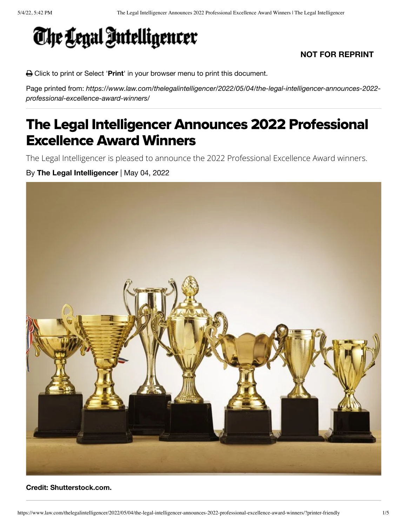

#### **NOT FOR REPRINT**

Click to print or Select '**Print**' in your browser menu to print this document.

Page printed from: *https://www.law.com/thelegalintelligencer/2022/05/04/the-legal-intelligencer-announces-2022 professional-excellence-award-winners/*

# The Legal Intelligencer Announces 2022 Professional Excellence Award Winners

The Legal Intelligencer is pleased to announce the 2022 Professional Excellence Award winners.

By **The Legal Intelligencer** | May 04, 2022



#### **Credit: Shutterstock.com.**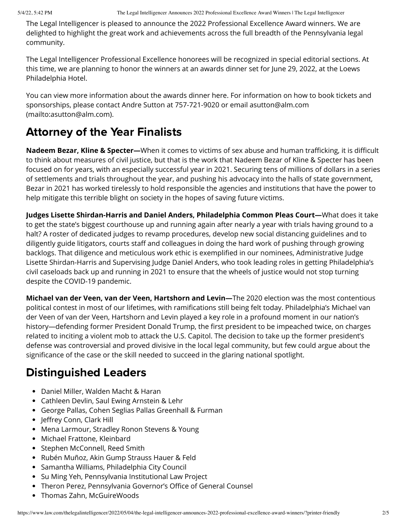The Legal Intelligencer is pleased to announce the 2022 Professional Excellence Award winners. We are delighted to highlight the great work and achievements across the full breadth of the Pennsylvania legal community.

The Legal Intelligencer Professional Excellence honorees will be recognized in special editorial sections. At this time, we are planning to honor the winners at an awards dinner set for June 29, 2022, at the Loews Philadelphia Hotel.

You can view more information about the awards dinner here. For information on how to book tickets and [sponsorships, please contact Andre Sutton at 757-721-9020 or email asutton@alm.com](mailto:asutton@alm.com) (mailto:asutton@alm.com).

## Attorney of the Year Finalists

**Nadeem Bezar, Kline & Specter—**When it comes to victims of sex abuse and human trafficking, it is difficult to think about measures of civil justice, but that is the work that Nadeem Bezar of Kline & Specter has been focused on for years, with an especially successful year in 2021. Securing tens of millions of dollars in a series of settlements and trials throughout the year, and pushing his advocacy into the halls of state government, Bezar in 2021 has worked tirelessly to hold responsible the agencies and institutions that have the power to help mitigate this terrible blight on society in the hopes of saving future victims.

**Judges Lisette Shirdan-Harris and Daniel Anders, Philadelphia Common Pleas Court—**What does it take to get the state's biggest courthouse up and running again after nearly a year with trials having ground to a halt? A roster of dedicated judges to revamp procedures, develop new social distancing guidelines and to diligently guide litigators, courts staff and colleagues in doing the hard work of pushing through growing backlogs. That diligence and meticulous work ethic is exemplified in our nominees, Administrative Judge Lisette Shirdan-Harris and Supervising Judge Daniel Anders, who took leading roles in getting Philadelphia's civil caseloads back up and running in 2021 to ensure that the wheels of justice would not stop turning despite the COVID-19 pandemic.

**Michael van der Veen, van der Veen, Hartshorn and Levin—**The 2020 election was the most contentious political contest in most of our lifetimes, with ramifications still being felt today. Philadelphia's Michael van der Veen of van der Veen, Hartshorn and Levin played a key role in a profound moment in our nation's history—defending former President Donald Trump, the first president to be impeached twice, on charges related to inciting a violent mob to attack the U.S. Capitol. The decision to take up the former president's defense was controversial and proved divisive in the local legal community, but few could argue about the significance of the case or the skill needed to succeed in the glaring national spotlight.

## Distinguished Leaders

- Daniel Miller, Walden Macht & Haran
- Cathleen Devlin, Saul Ewing Arnstein & Lehr
- George Pallas, Cohen Seglias Pallas Greenhall & Furman
- Jeffrey Conn, Clark Hill
- Mena Larmour, Stradley Ronon Stevens & Young
- Michael Frattone, Kleinbard
- Stephen McConnell, Reed Smith
- Rubén Muñoz, Akin Gump Strauss Hauer & Feld
- Samantha Williams, Philadelphia City Council
- Su Ming Yeh, Pennsylvania Institutional Law Project
- Theron Perez, Pennsylvania Governor's Office of General Counsel
- Thomas Zahn, McGuireWoods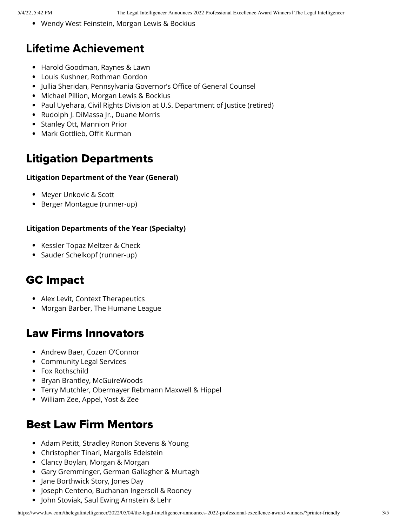Wendy West Feinstein, Morgan Lewis & Bockius

### Lifetime Achievement

- Harold Goodman, Raynes & Lawn
- Louis Kushner, Rothman Gordon
- Jullia Sheridan, Pennsylvania Governor's Office of General Counsel
- Michael Pillion, Morgan Lewis & Bockius
- Paul Uyehara, Civil Rights Division at U.S. Department of Justice (retired)
- Rudolph J. DiMassa Jr., Duane Morris
- Stanley Ott, Mannion Prior
- Mark Gottlieb, Offit Kurman

### Litigation Departments

#### **Litigation Department of the Year (General)**

- Meyer Unkovic & Scott
- Berger Montague (runner-up)

#### **Litigation Departments of the Year (Specialty)**

- Kessler Topaz Meltzer & Check
- Sauder Schelkopf (runner-up)

### GC Impact

- Alex Levit, Context Therapeutics
- Morgan Barber, The Humane League

#### Law Firms Innovators

- Andrew Baer, Cozen O'Connor
- Community Legal Services
- Fox Rothschild
- Bryan Brantley, McGuireWoods
- Terry Mutchler, Obermayer Rebmann Maxwell & Hippel
- William Zee, Appel, Yost & Zee

#### Best Law Firm Mentors

- Adam Petitt, Stradley Ronon Stevens & Young
- Christopher Tinari, Margolis Edelstein
- Clancy Boylan, Morgan & Morgan
- Gary Gremminger, German Gallagher & Murtagh
- Jane Borthwick Story, Jones Day
- Joseph Centeno, Buchanan Ingersoll & Rooney
- John Stoviak, Saul Ewing Arnstein & Lehr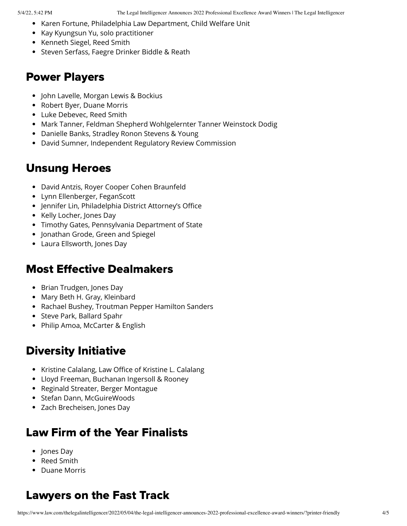- Karen Fortune, Philadelphia Law Department, Child Welfare Unit
- Kay Kyungsun Yu, solo practitioner
- Kenneth Siegel, Reed Smith
- **Steven Serfass, Faegre Drinker Biddle & Reath**

#### Power Players

- John Lavelle, Morgan Lewis & Bockius
- Robert Byer, Duane Morris
- Luke Debevec, Reed Smith
- Mark Tanner, Feldman Shepherd Wohlgelernter Tanner Weinstock Dodig
- Danielle Banks, Stradley Ronon Stevens & Young
- David Sumner, Independent Regulatory Review Commission

#### Unsung Heroes

- David Antzis, Royer Cooper Cohen Braunfeld
- Lynn Ellenberger, FeganScott
- Jennifer Lin, Philadelphia District Attorney's Office
- Kelly Locher, Jones Day
- Timothy Gates, Pennsylvania Department of State
- Jonathan Grode, Green and Spiegel
- Laura Ellsworth, Jones Day

#### Most Effective Dealmakers

- Brian Trudgen, Jones Day
- Mary Beth H. Gray, Kleinbard
- Rachael Bushey, Troutman Pepper Hamilton Sanders
- Steve Park, Ballard Spahr
- Philip Amoa, McCarter & English

### Diversity Initiative

- Kristine Calalang, Law Office of Kristine L. Calalang
- Lloyd Freeman, Buchanan Ingersoll & Rooney
- Reginald Streater, Berger Montague
- Stefan Dann, McGuireWoods
- Zach Brecheisen, Jones Day

#### Law Firm of the Year Finalists

- Jones Day
- Reed Smith
- Duane Morris

## Lawyers on the Fast Track